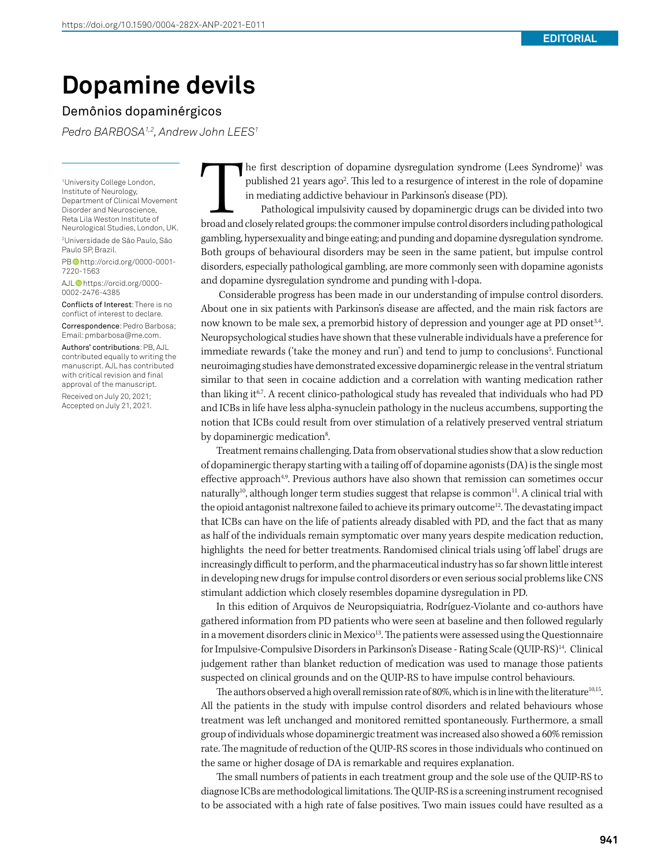## **Dopamine devils**

## Demônios dopaminérgicos

*Pedro BARBOSA1,2, Andrew John LEES1*

1 University College London, Institute of Neurology, Department of Clinical Movement Disorder and Neuroscience, Reta Lila Weston Institute of Neurological Studies, London, UK. 2 Universidade de São Paulo, São Paulo SP, Brazil.

PB http://orcid.org/0000-0001-7220-1563

AJL<sup>O</sup>https://orcid.org/0000-0002-2476-4385

Conflicts of Interest: There is no conflict of interest to declare.

Correspondence: Pedro Barbosa; Email: pmbarbosa@me.com.

Authors' contributions: PB, AJL contributed equally to writing the manuscript. AJL has contributed with critical revision and final approval of the manuscript.

Received on July 20, 2021; Accepted on July 21, 2021.

The first description of dopamine dysregulation syndrome (Lees Syndrome)<sup>1</sup> was published 21 years ago<sup>2</sup>. This led to a resurgence of interest in the role of dopamine in mediating addictive behaviour in Parkinson's diseas he first description of dopamine dysregulation syndrome (Lees Syndrome)<sup>1</sup> was published 21 years ago<sup>2</sup>. This led to a resurgence of interest in the role of dopamine in mediating addictive behaviour in Parkinson's disease (PD).

Pathological impulsivity caused by dopaminergic drugs can be divided into two gambling, hypersexuality and binge eating; and punding and dopamine dysregulation syndrome. Both groups of behavioural disorders may be seen in the same patient, but impulse control disorders, especially pathological gambling, are more commonly seen with dopamine agonists and dopamine dysregulation syndrome and punding with l-dopa.

 Considerable progress has been made in our understanding of impulse control disorders. About one in six patients with Parkinson's disease are affected, and the main risk factors are now known to be male sex, a premorbid history of depression and younger age at PD onset<sup>34</sup>. Neuropsychological studies have shown that these vulnerable individuals have a preference for immediate rewards ('take the money and run') and tend to jump to conclusions<sup>5</sup>. Functional neuroimaging studies have demonstrated excessive dopaminergic release in the ventral striatum similar to that seen in cocaine addiction and a correlation with wanting medication rather than liking it<sup>6,7</sup>. A recent clinico-pathological study has revealed that individuals who had PD and ICBs in life have less alpha-synuclein pathology in the nucleus accumbens, supporting the notion that ICBs could result from over stimulation of a relatively preserved ventral striatum by dopaminergic medication<sup>8</sup>. .

Treatment remains challenging. Data from observational studies show that a slow reduction of dopaminergic therapy starting with a tailing off of dopamine agonists (DA) is the single most effective approach<sup>4,9</sup>. Previous authors have also shown that remission can sometimes occur naturally<sup>10</sup>, although longer term studies suggest that relapse is common<sup>11</sup>. A clinical trial with the opioid antagonist naltrexone failed to achieve its primary outcome<sup>12</sup>. The devastating impact that ICBs can have on the life of patients already disabled with PD, and the fact that as many as half of the individuals remain symptomatic over many years despite medication reduction, highlights the need for better treatments. Randomised clinical trials using 'off label' drugs are increasingly difficult to perform, and the pharmaceutical industry has so far shown little interest in developing new drugs for impulse control disorders or even serious social problems like CNS stimulant addiction which closely resembles dopamine dysregulation in PD.

In this edition of Arquivos de Neuropsiquiatria, Rodríguez-Violante and co-authors have gathered information from PD patients who were seen at baseline and then followed regularly in a movement disorders clinic in Mexico<sup>13</sup>. The patients were assessed using the Questionnaire for Impulsive-Compulsive Disorders in Parkinson's Disease - Rating Scale (QUIP-RS)<sup>14</sup>. Clinical judgement rather than blanket reduction of medication was used to manage those patients suspected on clinical grounds and on the QUIP-RS to have impulse control behaviours.

The authors observed a high overall remission rate of 80%, which is in line with the literature<sup>10,15</sup>. All the patients in the study with impulse control disorders and related behaviours whose treatment was left unchanged and monitored remitted spontaneously. Furthermore, a small group of individuals whose dopaminergic treatment was increased also showed a 60% remission rate. The magnitude of reduction of the QUIP-RS scores in those individuals who continued on the same or higher dosage of DA is remarkable and requires explanation.

The small numbers of patients in each treatment group and the sole use of the QUIP-RS to diagnose ICBs are methodological limitations. The QUIP-RS is a screening instrument recognised to be associated with a high rate of false positives. Two main issues could have resulted as a